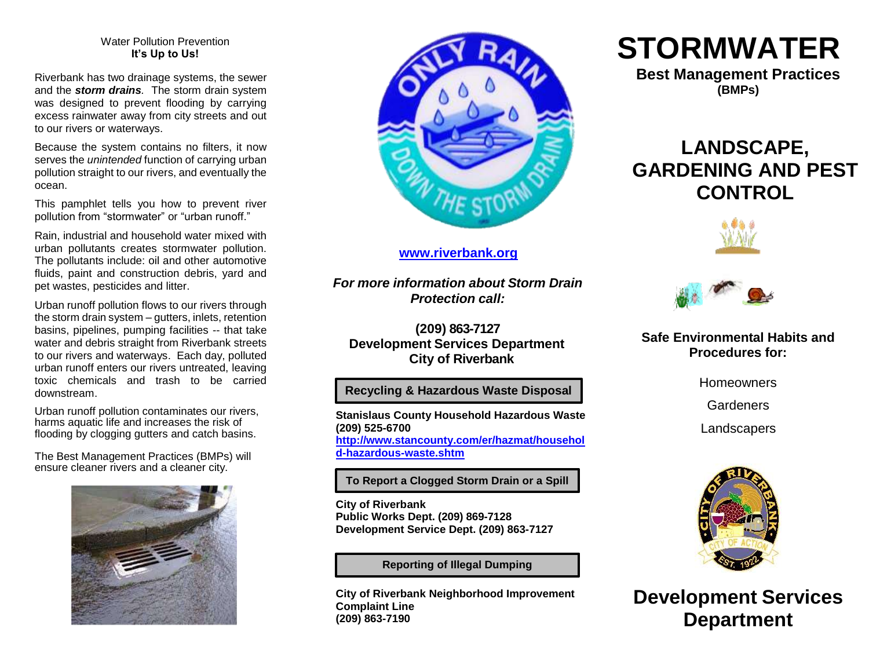#### Water Pollution Prevention **It's Up to Us!**

Riverbank has two drainage systems, the sewer and the *storm drains.* The storm drain system was designed to prevent flooding by carrying excess rainwater away from city streets and out to our rivers or waterways.

Because the system contains no filters, it now serves the *unintended* function of carrying urban pollution straight to our rivers, and eventually the ocean.

This pamphlet tells you how to prevent river pollution from "stormwater" or "urban runoff."

Rain, industrial and household water mixed with urban pollutants creates stormwater pollution. The pollutants include: oil and other automotive fluids, paint and construction debris, yard and pet wastes, pesticides and litter.

Urban runoff pollution flows to our rivers through the storm drain system – gutters, inlets, retention basins, pipelines, pumping facilities -- that take water and debris straight from Riverbank streets to our rivers and waterways. Each day, polluted urban runoff enters our rivers untreated, leaving toxic chemicals and trash to be carried downstream.

Urban runoff pollution contaminates our rivers, harms aquatic life and increases the risk of flooding by clogging gutters and catch basins.

The Best Management Practices (BMPs) will ensure cleaner rivers and a cleaner city.





# **[www.riverbank.org](http://www.riverbank.org/)**

*For more information about Storm Drain Protection call:*

**(209) 863-7127 Development Services Department City of Riverbank**

#### **Recycling & Hazardous Waste Disposal**

**Stanislaus County Household Hazardous Waste (209) 525-6700 [http://www.stancounty.com/er/hazmat/househol](http://www.stancounty.com/er/hazmat/household-hazardous-waste.shtm) [d-hazardous-waste.shtm](http://www.stancounty.com/er/hazmat/household-hazardous-waste.shtm)**

**To Report a Clogged Storm Drain or a Spill**

**City of Riverbank Public Works Dept. (209) 869-7128 Development Service Dept. (209) 863-7127**

**Reporting of Illegal Dumping**

**City of Riverbank Neighborhood Improvement Complaint Line (209) 863-7190**

# **STORMWATER**

**Best Management Practices (BMPs)**

# **LANDSCAPE, GARDENING AND PEST CONTROL**





### **Safe Environmental Habits and Procedures for:**

**Homeowners** 

**Gardeners** 

**Landscapers** 



**Development Services Department**